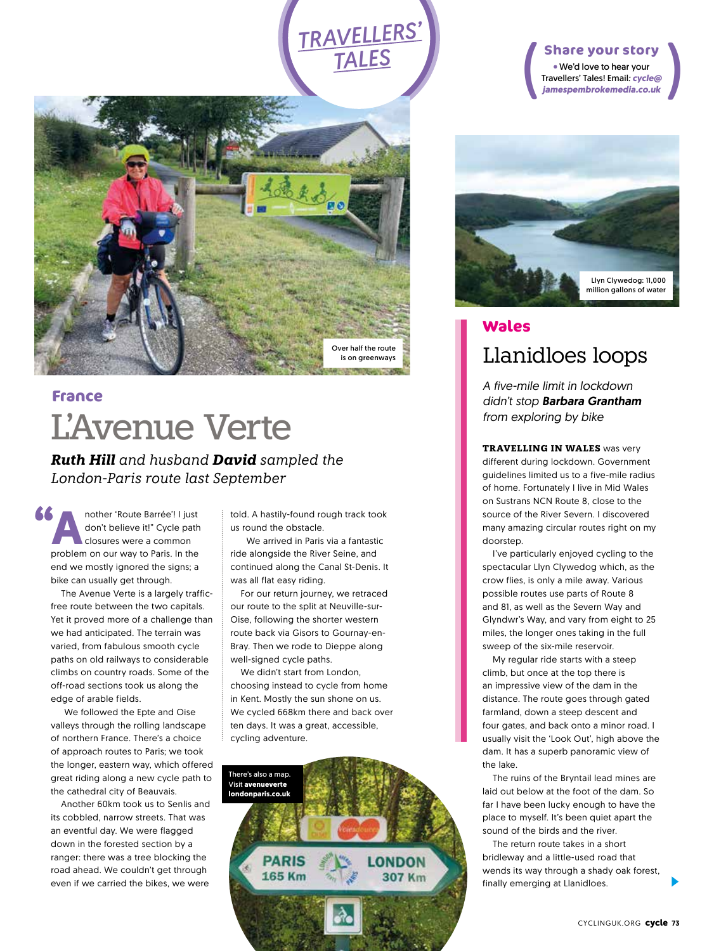# *TRAVELLERS' TALES*



## L'Avenue Verte **France**

*Ruth Hill and husband David sampled the London-Paris route last September* 

**A**<br> **A** and the starting the starting of the starting controller the closures were a common<br>
problem on our way to Paris. In the don't believe it!" Cycle path problem on our way to Paris. In the end we mostly ignored the signs; a bike can usually get through.

The Avenue Verte is a largely trafficfree route between the two capitals. Yet it proved more of a challenge than we had anticipated. The terrain was varied, from fabulous smooth cycle paths on old railways to considerable climbs on country roads. Some of the off-road sections took us along the edge of arable fields.

 We followed the Epte and Oise valleys through the rolling landscape of northern France. There's a choice of approach routes to Paris; we took the longer, eastern way, which offered great riding along a new cycle path to the cathedral city of Beauvais.

Another 60km took us to Senlis and its cobbled, narrow streets. That was an eventful day. We were flagged down in the forested section by a ranger: there was a tree blocking the road ahead. We couldn't get through even if we carried the bikes, we were

told. A hastily-found rough track took us round the obstacle.

 We arrived in Paris via a fantastic ride alongside the River Seine, and continued along the Canal St-Denis. It was all flat easy riding.

For our return journey, we retraced our route to the split at Neuville-sur-Oise, following the shorter western route back via Gisors to Gournay-en-Bray. Then we rode to Dieppe along well-signed cycle paths.

We didn't start from London, choosing instead to cycle from home in Kent. Mostly the sun shone on us. We cycled 668km there and back over ten days. It was a great, accessible, cycling adventure.



#### ( ( **Share your story**

We'd love to hear your Travellers' Tales! Email*: cycle@ jamespembrokemedia.co.uk*



### Llanidloes loops **Wales**

*A five-mile limit in lockdown didn't stop Barbara Grantham from exploring by bike*

**TRAVELLING IN WALES** was very different during lockdown. Government guidelines limited us to a five-mile radius of home. Fortunately I live in Mid Wales on Sustrans NCN Route 8, close to the source of the River Severn. I discovered many amazing circular routes right on my doorstep.

I've particularly enjoyed cycling to the spectacular Llyn Clywedog which, as the crow flies, is only a mile away. Various possible routes use parts of Route 8 and 81, as well as the Severn Way and Glyndwr's Way, and vary from eight to 25 miles, the longer ones taking in the full sweep of the six-mile reservoir.

My regular ride starts with a steep climb, but once at the top there is an impressive view of the dam in the distance. The route goes through gated farmland, down a steep descent and four gates, and back onto a minor road. I usually visit the 'Look Out', high above the dam. It has a superb panoramic view of the lake.

The ruins of the Bryntail lead mines are laid out below at the foot of the dam. So far I have been lucky enough to have the place to myself. It's been quiet apart the sound of the birds and the river.

The return route takes in a short bridleway and a little-used road that wends its way through a shady oak forest, finally emerging at Llanidloes.